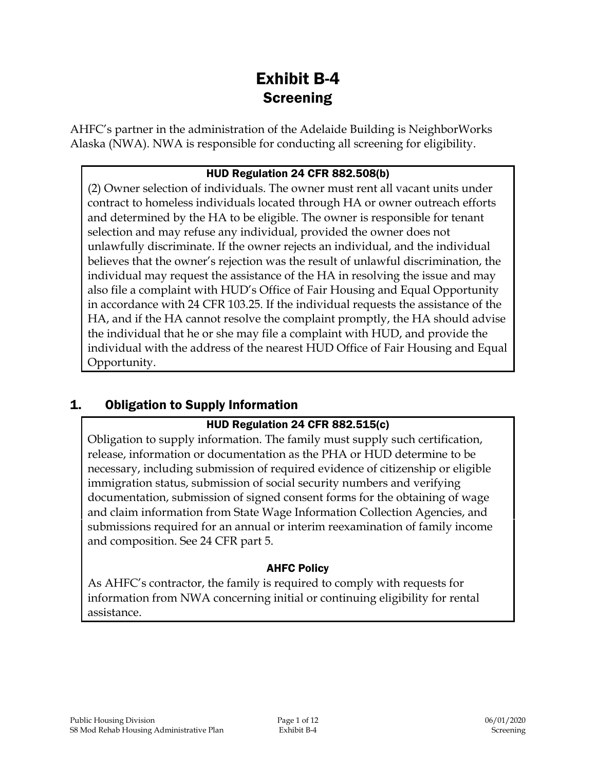# Exhibit B-4 **Screening**

AHFC's partner in the administration of the Adelaide Building is NeighborWorks Alaska (NWA). NWA is responsible for conducting all screening for eligibility.

#### HUD Regulation 24 CFR 882.508(b)

(2) Owner selection of individuals. The owner must rent all vacant units under contract to homeless individuals located through HA or owner outreach efforts and determined by the HA to be eligible. The owner is responsible for tenant selection and may refuse any individual, provided the owner does not unlawfully discriminate. If the owner rejects an individual, and the individual believes that the owner's rejection was the result of unlawful discrimination, the individual may request the assistance of the HA in resolving the issue and may also file a complaint with HUD's Office of Fair Housing and Equal Opportunity in accordance with 24 CFR 103.25. If the individual requests the assistance of the HA, and if the HA cannot resolve the complaint promptly, the HA should advise the individual that he or she may file a complaint with HUD, and provide the individual with the address of the nearest HUD Office of Fair Housing and Equal Opportunity.

## 1. Obligation to Supply Information

#### HUD Regulation 24 CFR 882.515(c)

Obligation to supply information. The family must supply such certification, release, information or documentation as the PHA or HUD determine to be necessary, including submission of required evidence of citizenship or eligible immigration status, submission of social security numbers and verifying documentation, submission of signed consent forms for the obtaining of wage and claim information from State Wage Information Collection Agencies, and submissions required for an annual or interim reexamination of family income and composition. See 24 CFR part 5.

#### AHFC Policy

As AHFC's contractor, the family is required to comply with requests for information from NWA concerning initial or continuing eligibility for rental assistance.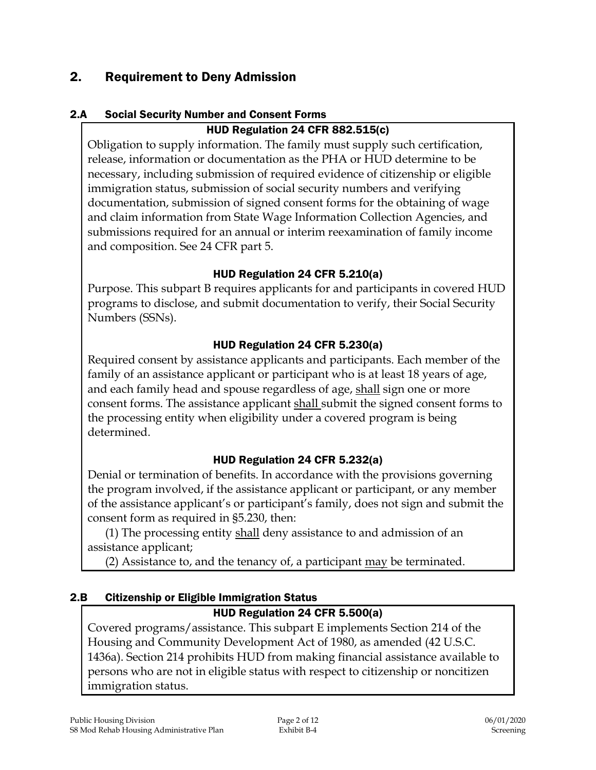## 2. Requirement to Deny Admission

### 2.A Social Security Number and Consent Forms

### HUD Regulation 24 CFR 882.515(c)

Obligation to supply information. The family must supply such certification, release, information or documentation as the PHA or HUD determine to be necessary, including submission of required evidence of citizenship or eligible immigration status, submission of social security numbers and verifying documentation, submission of signed consent forms for the obtaining of wage and claim information from State Wage Information Collection Agencies, and submissions required for an annual or interim reexamination of family income and composition. See 24 CFR part 5.

#### HUD Regulation 24 CFR 5.210(a)

Purpose. This subpart B requires applicants for and participants in covered HUD programs to disclose, and submit documentation to verify, their Social Security Numbers (SSNs).

### HUD Regulation 24 CFR 5.230(a)

Required consent by assistance applicants and participants. Each member of the family of an assistance applicant or participant who is at least 18 years of age, and each family head and spouse regardless of age, shall sign one or more consent forms. The assistance applicant shall submit the signed consent forms to the processing entity when eligibility under a covered program is being determined.

## HUD Regulation 24 CFR 5.232(a)

Denial or termination of benefits. In accordance with the provisions governing the program involved, if the assistance applicant or participant, or any member of the assistance applicant's or participant's family, does not sign and submit the consent form as required in §5.230, then:

(1) The processing entity shall deny assistance to and admission of an assistance applicant;

(2) Assistance to, and the tenancy of, a participant may be terminated.

## 2.B Citizenship or Eligible Immigration Status

## HUD Regulation 24 CFR 5.500(a)

Covered programs/assistance. This subpart E implements Section 214 of the Housing and Community Development Act of 1980, as amended (42 U.S.C. 1436a). Section 214 prohibits HUD from making financial assistance available to persons who are not in eligible status with respect to citizenship or noncitizen immigration status.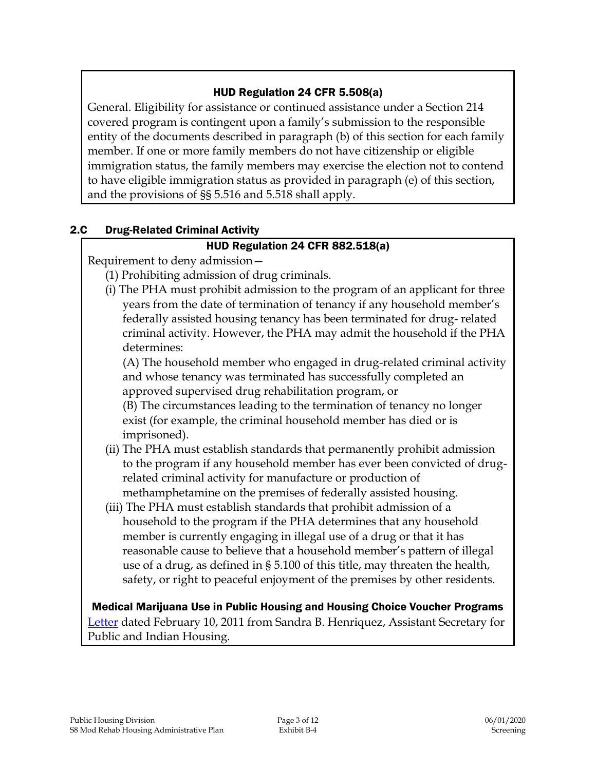#### HUD Regulation 24 CFR 5.508(a)

General. Eligibility for assistance or continued assistance under a Section 214 covered program is contingent upon a family's submission to the responsible entity of the documents described in paragraph (b) of this section for each family member. If one or more family members do not have citizenship or eligible immigration status, the family members may exercise the election not to contend to have eligible immigration status as provided in paragraph (e) of this section, and the provisions of §§ 5.516 and 5.518 shall apply.

#### 2.C Drug-Related Criminal Activity

### HUD Regulation 24 CFR 882.518(a)

Requirement to deny admission—

- (1) Prohibiting admission of drug criminals.
- (i) The PHA must prohibit admission to the program of an applicant for three years from the date of termination of tenancy if any household member's federally assisted housing tenancy has been terminated for drug- related criminal activity. However, the PHA may admit the household if the PHA determines:

(A) The household member who engaged in drug-related criminal activity and whose tenancy was terminated has successfully completed an approved supervised drug rehabilitation program, or

(B) The circumstances leading to the termination of tenancy no longer exist (for example, the criminal household member has died or is imprisoned).

- (ii) The PHA must establish standards that permanently prohibit admission to the program if any household member has ever been convicted of drugrelated criminal activity for manufacture or production of methamphetamine on the premises of federally assisted housing.
- (iii) The PHA must establish standards that prohibit admission of a household to the program if the PHA determines that any household member is currently engaging in illegal use of a drug or that it has reasonable cause to believe that a household member's pattern of illegal use of a drug, as defined in § 5.100 of this title, may threaten the health, safety, or right to peaceful enjoyment of the premises by other residents.

Medical Marijuana Use in Public Housing and Housing Choice Voucher Programs [Letter](file:///C:/Users/Tor/AppData/Local/Microsoft/Windows/INetCache/Content.Outlook/PZ0K7VHJ/MarijuanaPIH_021011.PDF) dated February 10, 2011 from Sandra B. Henriquez, Assistant Secretary for Public and Indian Housing.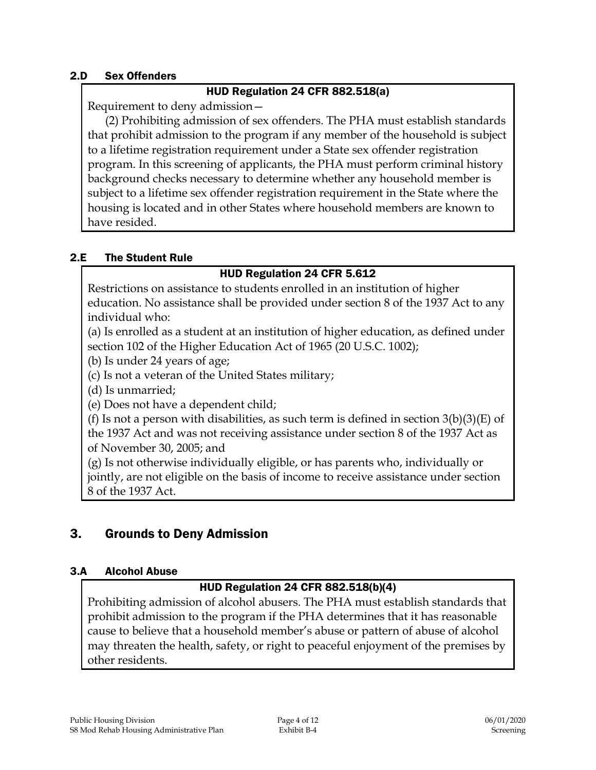#### 2.D Sex Offenders

#### HUD Regulation 24 CFR 882.518(a)

Requirement to deny admission—

(2) Prohibiting admission of sex offenders. The PHA must establish standards that prohibit admission to the program if any member of the household is subject to a lifetime registration requirement under a State sex offender registration program. In this screening of applicants, the PHA must perform criminal history background checks necessary to determine whether any household member is subject to a lifetime sex offender registration requirement in the State where the housing is located and in other States where household members are known to have resided.

#### 2.E The Student Rule

### HUD Regulation 24 CFR 5.612

Restrictions on assistance to students enrolled in an institution of higher education. No assistance shall be provided under section 8 of the 1937 Act to any individual who:

(a) Is enrolled as a student at an institution of higher education, as defined under section 102 of the Higher Education Act of 1965 (20 U.S.C. 1002);

(b) Is under 24 years of age;

(c) Is not a veteran of the United States military;

(d) Is unmarried;

(e) Does not have a dependent child;

(f) Is not a person with disabilities, as such term is defined in section  $3(b)(3)(E)$  of the 1937 Act and was not receiving assistance under section 8 of the 1937 Act as of November 30, 2005; and

(g) Is not otherwise individually eligible, or has parents who, individually or jointly, are not eligible on the basis of income to receive assistance under section 8 of the 1937 Act.

## 3. Grounds to Deny Admission

#### 3.A Alcohol Abuse

#### HUD Regulation 24 CFR 882.518(b)(4)

Prohibiting admission of alcohol abusers. The PHA must establish standards that prohibit admission to the program if the PHA determines that it has reasonable cause to believe that a household member's abuse or pattern of abuse of alcohol may threaten the health, safety, or right to peaceful enjoyment of the premises by other residents.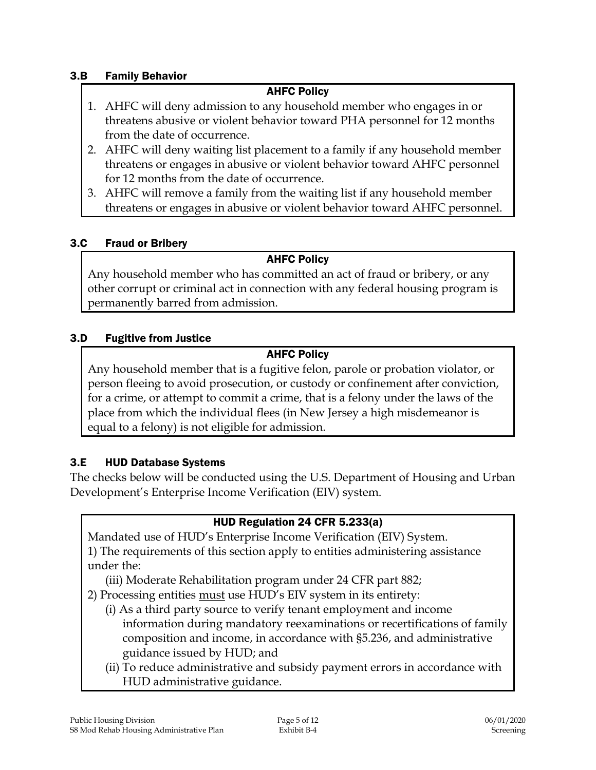#### 3.B Family Behavior

#### AHFC Policy

- 1. AHFC will deny admission to any household member who engages in or threatens abusive or violent behavior toward PHA personnel for 12 months from the date of occurrence.
- 2. AHFC will deny waiting list placement to a family if any household member threatens or engages in abusive or violent behavior toward AHFC personnel for 12 months from the date of occurrence.
- 3. AHFC will remove a family from the waiting list if any household member threatens or engages in abusive or violent behavior toward AHFC personnel.

#### 3.C Fraud or Bribery

#### AHFC Policy

Any household member who has committed an act of fraud or bribery, or any other corrupt or criminal act in connection with any federal housing program is permanently barred from admission.

#### 3.D Fugitive from Justice

#### AHFC Policy

Any household member that is a fugitive felon, parole or probation violator, or person fleeing to avoid prosecution, or custody or confinement after conviction, for a crime, or attempt to commit a crime, that is a felony under the laws of the place from which the individual flees (in New Jersey a high misdemeanor is equal to a felony) is not eligible for admission.

#### 3.E HUD Database Systems

The checks below will be conducted using the U.S. Department of Housing and Urban Development's Enterprise Income Verification (EIV) system.

#### HUD Regulation 24 CFR 5.233(a)

Mandated use of HUD's Enterprise Income Verification (EIV) System. 1) The requirements of this section apply to entities administering assistance under the:

(iii) Moderate Rehabilitation program under 24 CFR part 882;

2) Processing entities must use HUD's EIV system in its entirety:

- (i) As a third party source to verify tenant employment and income information during mandatory reexaminations or recertifications of family composition and income, in accordance with §5.236, and administrative guidance issued by HUD; and
- (ii) To reduce administrative and subsidy payment errors in accordance with HUD administrative guidance.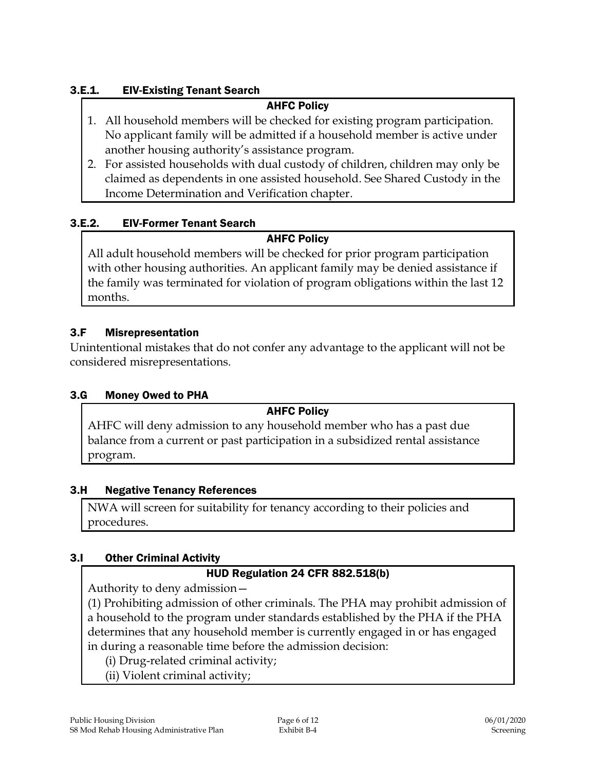### 3.E.1. EIV-Existing Tenant Search

#### AHFC Policy

- 1. All household members will be checked for existing program participation. No applicant family will be admitted if a household member is active under another housing authority's assistance program.
- 2. For assisted households with dual custody of children, children may only be claimed as dependents in one assisted household. See Shared Custody in the Income Determination and Verification chapter.

### 3.E.2. EIV-Former Tenant Search

### AHFC Policy

All adult household members will be checked for prior program participation with other housing authorities. An applicant family may be denied assistance if the family was terminated for violation of program obligations within the last 12 months.

### 3.F Misrepresentation

Unintentional mistakes that do not confer any advantage to the applicant will not be considered misrepresentations.

#### 3.G Money Owed to PHA

#### AHFC Policy

AHFC will deny admission to any household member who has a past due balance from a current or past participation in a subsidized rental assistance program.

#### 3.H Negative Tenancy References

NWA will screen for suitability for tenancy according to their policies and procedures.

#### 3.I Other Criminal Activity

#### HUD Regulation 24 CFR 882.518(b)

Authority to deny admission—

(1) Prohibiting admission of other criminals. The PHA may prohibit admission of a household to the program under standards established by the PHA if the PHA determines that any household member is currently engaged in or has engaged in during a reasonable time before the admission decision:

- (i) Drug-related criminal activity;
- (ii) Violent criminal activity;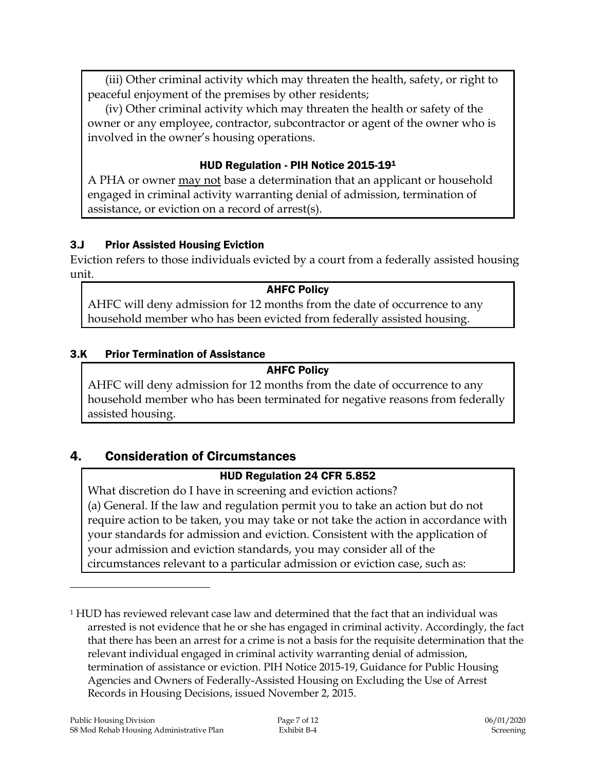(iii) Other criminal activity which may threaten the health, safety, or right to peaceful enjoyment of the premises by other residents;

(iv) Other criminal activity which may threaten the health or safety of the owner or any employee, contractor, subcontractor or agent of the owner who is involved in the owner's housing operations.

#### HUD Regulation - PIH Notice 2015-19<sup>1</sup>

A PHA or owner may not base a determination that an applicant or household engaged in criminal activity warranting denial of admission, termination of assistance, or eviction on a record of arrest(s).

#### 3.J Prior Assisted Housing Eviction

Eviction refers to those individuals evicted by a court from a federally assisted housing unit.

#### AHFC Policy

AHFC will deny admission for 12 months from the date of occurrence to any household member who has been evicted from federally assisted housing.

#### 3.K Prior Termination of Assistance

#### AHFC Policy

AHFC will deny admission for 12 months from the date of occurrence to any household member who has been terminated for negative reasons from federally assisted housing.

## 4. Consideration of Circumstances

#### HUD Regulation 24 CFR 5.852

What discretion do I have in screening and eviction actions? (a) General. If the law and regulation permit you to take an action but do not require action to be taken, you may take or not take the action in accordance with your standards for admission and eviction. Consistent with the application of your admission and eviction standards, you may consider all of the circumstances relevant to a particular admission or eviction case, such as:

 $\overline{a}$ 

<sup>1</sup> HUD has reviewed relevant case law and determined that the fact that an individual was arrested is not evidence that he or she has engaged in criminal activity. Accordingly, the fact that there has been an arrest for a crime is not a basis for the requisite determination that the relevant individual engaged in criminal activity warranting denial of admission, termination of assistance or eviction. PIH Notice 2015-19, Guidance for Public Housing Agencies and Owners of Federally-Assisted Housing on Excluding the Use of Arrest Records in Housing Decisions, issued November 2, 2015.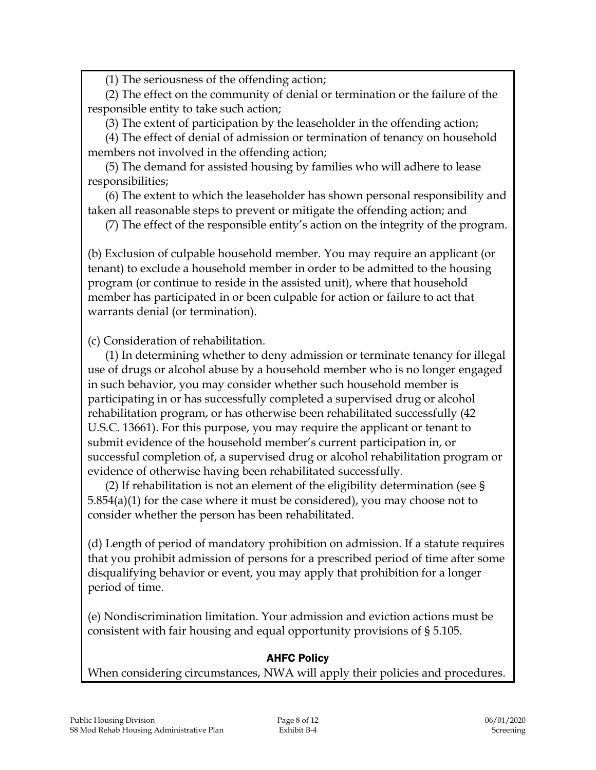(1) The seriousness of the offending action;

(2) The effect on the community of denial or termination or the failure of the responsible entity to take such action;

(3) The extent of participation by the leaseholder in the offending action;

(4) The effect of denial of admission or termination of tenancy on household members not involved in the offending action;

(5) The demand for assisted housing by families who will adhere to lease responsibilities;

(6) The extent to which the leaseholder has shown personal responsibility and taken all reasonable steps to prevent or mitigate the offending action; and

(7) The effect of the responsible entity's action on the integrity of the program.

(b) Exclusion of culpable household member. You may require an applicant (or tenant) to exclude a household member in order to be admitted to the housing program (or continue to reside in the assisted unit), where that household member has participated in or been culpable for action or failure to act that warrants denial (or termination).

(c) Consideration of rehabilitation.

(1) In determining whether to deny admission or terminate tenancy for illegal use of drugs or alcohol abuse by a household member who is no longer engaged in such behavior, you may consider whether such household member is participating in or has successfully completed a supervised drug or alcohol rehabilitation program, or has otherwise been rehabilitated successfully (42 U.S.C. 13661). For this purpose, you may require the applicant or tenant to submit evidence of the household member's current participation in, or successful completion of, a supervised drug or alcohol rehabilitation program or evidence of otherwise having been rehabilitated successfully.

(2) If rehabilitation is not an element of the eligibility determination (see § 5.854(a)(1) for the case where it must be considered), you may choose not to consider whether the person has been rehabilitated.

(d) Length of period of mandatory prohibition on admission. If a statute requires that you prohibit admission of persons for a prescribed period of time after some disqualifying behavior or event, you may apply that prohibition for a longer period of time.

(e) Nondiscrimination limitation. Your admission and eviction actions must be consistent with fair housing and equal opportunity provisions of § 5.105.

#### AHFC Policy

When considering circumstances, NWA will apply their policies and procedures.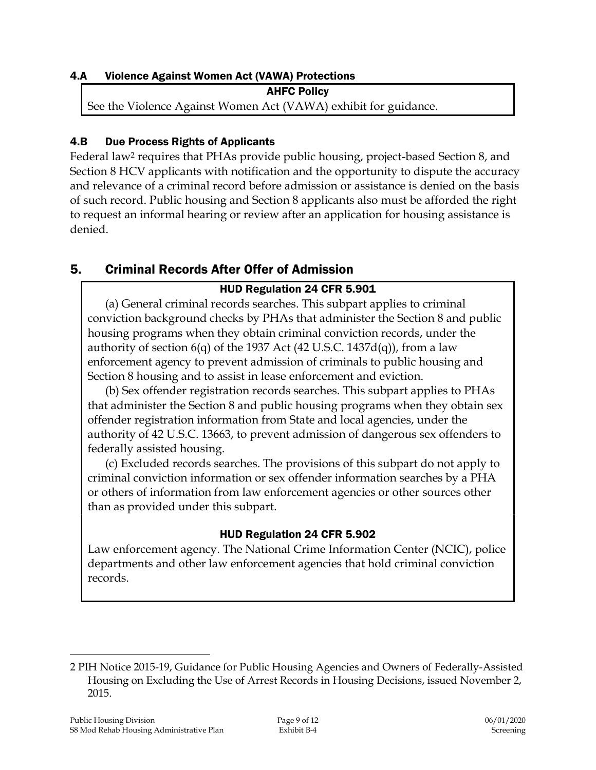#### 4.A Violence Against Women Act (VAWA) Protections

AHFC Policy See the Violence Against Women Act (VAWA) exhibit for guidance.

### 4.B Due Process Rights of Applicants

Federal law<sup>2</sup> requires that PHAs provide public housing, project-based Section 8, and Section 8 HCV applicants with notification and the opportunity to dispute the accuracy and relevance of a criminal record before admission or assistance is denied on the basis of such record. Public housing and Section 8 applicants also must be afforded the right to request an informal hearing or review after an application for housing assistance is denied.

## 5. Criminal Records After Offer of Admission

## HUD Regulation 24 CFR 5.901

(a) General criminal records searches. This subpart applies to criminal conviction background checks by PHAs that administer the Section 8 and public housing programs when they obtain criminal conviction records, under the authority of section  $6(q)$  of the 1937 Act (42 U.S.C. 1437d(q)), from a law enforcement agency to prevent admission of criminals to public housing and Section 8 housing and to assist in lease enforcement and eviction.

(b) Sex offender registration records searches. This subpart applies to PHAs that administer the Section 8 and public housing programs when they obtain sex offender registration information from State and local agencies, under the authority of 42 U.S.C. 13663, to prevent admission of dangerous sex offenders to federally assisted housing.

(c) Excluded records searches. The provisions of this subpart do not apply to criminal conviction information or sex offender information searches by a PHA or others of information from law enforcement agencies or other sources other than as provided under this subpart.

## HUD Regulation 24 CFR 5.902

Law enforcement agency. The National Crime Information Center (NCIC), police departments and other law enforcement agencies that hold criminal conviction records.

 $\overline{a}$ 

<sup>2</sup> PIH Notice 2015-19, Guidance for Public Housing Agencies and Owners of Federally-Assisted Housing on Excluding the Use of Arrest Records in Housing Decisions, issued November 2, 2015.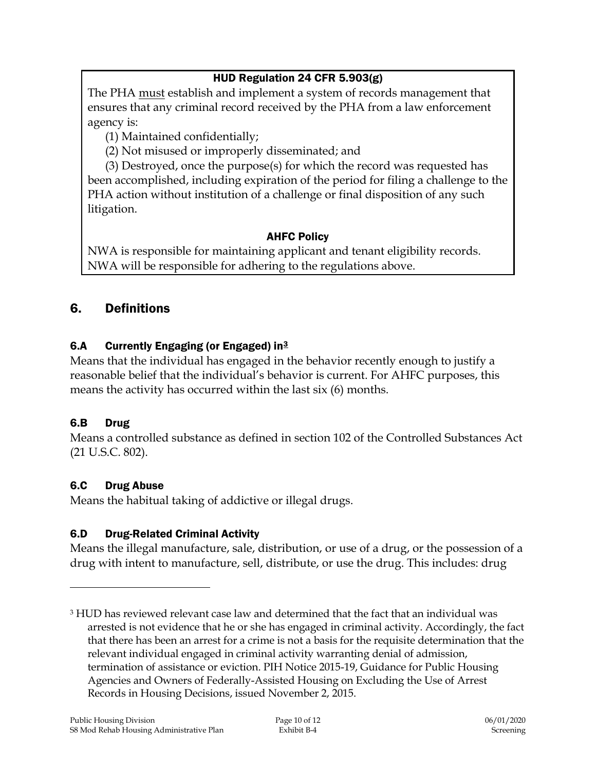## HUD Regulation 24 CFR 5.903(g)

The PHA must establish and implement a system of records management that ensures that any criminal record received by the PHA from a law enforcement agency is:

(1) Maintained confidentially;

(2) Not misused or improperly disseminated; and

(3) Destroyed, once the purpose(s) for which the record was requested has been accomplished, including expiration of the period for filing a challenge to the PHA action without institution of a challenge or final disposition of any such litigation.

#### AHFC Policy

NWA is responsible for maintaining applicant and tenant eligibility records. NWA will be responsible for adhering to the regulations above.

## 6. Definitions

## 6.A Currently Engaging (or Engaged) in $3$

Means that the individual has engaged in the behavior recently enough to justify a reasonable belief that the individual's behavior is current. For AHFC purposes, this means the activity has occurred within the last six (6) months.

## 6.B Drug

 $\overline{a}$ 

Means a controlled substance as defined in section 102 of the Controlled Substances Act (21 U.S.C. 802).

## 6.C Drug Abuse

Means the habitual taking of addictive or illegal drugs.

## 6.D Drug-Related Criminal Activity

Means the illegal manufacture, sale, distribution, or use of a drug, or the possession of a drug with intent to manufacture, sell, distribute, or use the drug. This includes: drug

<sup>3</sup> HUD has reviewed relevant case law and determined that the fact that an individual was arrested is not evidence that he or she has engaged in criminal activity. Accordingly, the fact that there has been an arrest for a crime is not a basis for the requisite determination that the relevant individual engaged in criminal activity warranting denial of admission, termination of assistance or eviction. PIH Notice 2015-19, Guidance for Public Housing Agencies and Owners of Federally-Assisted Housing on Excluding the Use of Arrest Records in Housing Decisions, issued November 2, 2015.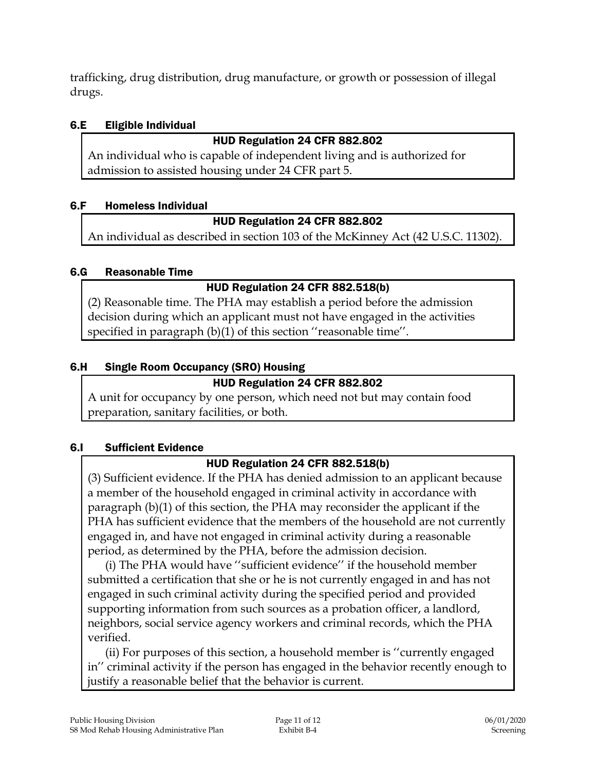trafficking, drug distribution, drug manufacture, or growth or possession of illegal drugs.

### 6.E Eligible Individual

## HUD Regulation 24 CFR 882.802

An individual who is capable of independent living and is authorized for admission to assisted housing under 24 CFR part 5.

## 6.F Homeless Individual

## HUD Regulation 24 CFR 882.802

An individual as described in section 103 of the McKinney Act (42 U.S.C. 11302).

## 6.G Reasonable Time

## HUD Regulation 24 CFR 882.518(b)

(2) Reasonable time. The PHA may establish a period before the admission decision during which an applicant must not have engaged in the activities specified in paragraph (b)(1) of this section ''reasonable time''.

## 6.H Single Room Occupancy (SRO) Housing

## HUD Regulation 24 CFR 882.802

A unit for occupancy by one person, which need not but may contain food preparation, sanitary facilities, or both.

## 6.I Sufficient Evidence

## HUD Regulation 24 CFR 882.518(b)

(3) Sufficient evidence. If the PHA has denied admission to an applicant because a member of the household engaged in criminal activity in accordance with paragraph (b)(1) of this section, the PHA may reconsider the applicant if the PHA has sufficient evidence that the members of the household are not currently engaged in, and have not engaged in criminal activity during a reasonable period, as determined by the PHA, before the admission decision.

(i) The PHA would have ''sufficient evidence'' if the household member submitted a certification that she or he is not currently engaged in and has not engaged in such criminal activity during the specified period and provided supporting information from such sources as a probation officer, a landlord, neighbors, social service agency workers and criminal records, which the PHA verified.

(ii) For purposes of this section, a household member is ''currently engaged in'' criminal activity if the person has engaged in the behavior recently enough to justify a reasonable belief that the behavior is current.